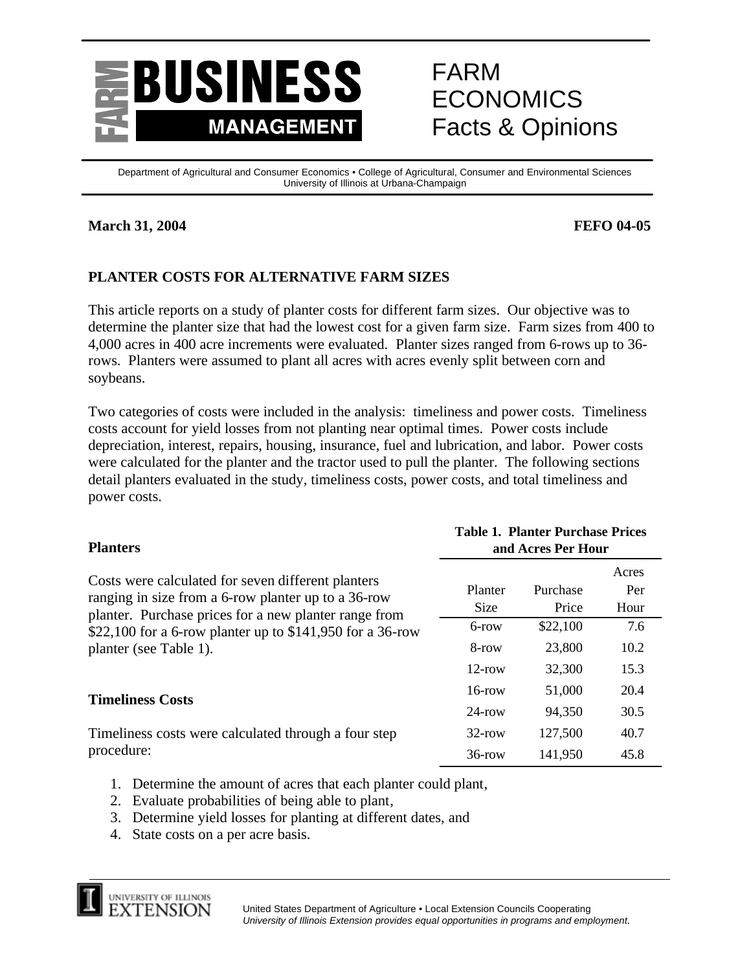

# FARM ECONOMICS Facts & Opinions

Department of Agricultural and Consumer Economics • College of Agricultural, Consumer and Environmental Sciences University of Illinois at Urbana-Champaign

### **March 31, 2004 FEFO 04-05**

# **PLANTER COSTS FOR ALTERNATIVE FARM SIZES**

This article reports on a study of planter costs for different farm sizes. Our objective was to determine the planter size that had the lowest cost for a given farm size. Farm sizes from 400 to 4,000 acres in 400 acre increments were evaluated. Planter sizes ranged from 6-rows up to 36 rows. Planters were assumed to plant all acres with acres evenly split between corn and soybeans.

Two categories of costs were included in the analysis: timeliness and power costs. Timeliness costs account for yield losses from not planting near optimal times. Power costs include depreciation, interest, repairs, housing, insurance, fuel and lubrication, and labor. Power costs were calculated for the planter and the tractor used to pull the planter. The following sections detail planters evaluated in the study, timeliness costs, power costs, and total timeliness and power costs.

| <b>Planters</b>                                                                                                                                                    | <b>Table 1. Planter Purchase Prices</b><br>and Acres Per Hour |                   |                      |  |  |  |
|--------------------------------------------------------------------------------------------------------------------------------------------------------------------|---------------------------------------------------------------|-------------------|----------------------|--|--|--|
| Costs were calculated for seven different planters<br>ranging in size from a 6-row planter up to a 36-row<br>planter. Purchase prices for a new planter range from | Planter<br><b>Size</b>                                        | Purchase<br>Price | Acres<br>Per<br>Hour |  |  |  |
| \$22,100 for a 6-row planter up to \$141,950 for a 36-row                                                                                                          | $6$ -row                                                      | \$22,100          | 7.6                  |  |  |  |
| planter (see Table 1).                                                                                                                                             | 8-row                                                         | 23,800            | 10.2                 |  |  |  |
|                                                                                                                                                                    | $12$ -row                                                     | 32,300            | 15.3                 |  |  |  |
| <b>Timeliness Costs</b>                                                                                                                                            | $16$ -row                                                     | 51,000            | 20.4                 |  |  |  |
|                                                                                                                                                                    | $24$ -row                                                     | 94,350            | 30.5                 |  |  |  |
| Timeliness costs were calculated through a four step                                                                                                               | $32$ -row                                                     | 127,500           | 40.7                 |  |  |  |
| procedure:                                                                                                                                                         | $36$ -row                                                     | 141,950           | 45.8                 |  |  |  |

- 1. Determine the amount of acres that each planter could plant,
- 2. Evaluate probabilities of being able to plant,
- 3. Determine yield losses for planting at different dates, and
- 4. State costs on a per acre basis.

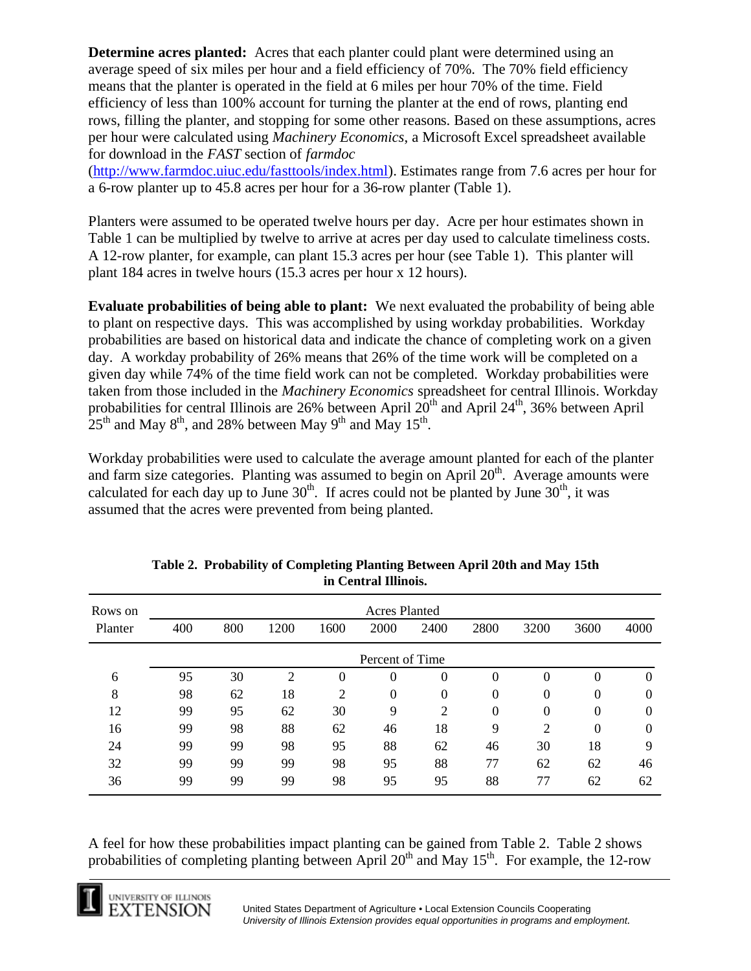**Determine acres planted:** Acres that each planter could plant were determined using an average speed of six miles per hour and a field efficiency of 70%. The 70% field efficiency means that the planter is operated in the field at 6 miles per hour 70% of the time. Field efficiency of less than 100% account for turning the planter at the end of rows, planting end rows, filling the planter, and stopping for some other reasons. Based on these assumptions, acres per hour were calculated using *Machinery Economics*, a Microsoft Excel spreadsheet available for download in the *FAST* section of *farmdoc*

([http://www.farmdoc.uiuc.edu/fasttools/index.htm](http://www.farmdoc.uiuc.edu/fasttools/index.html)l). Estimates range from 7.6 acres per hour for a 6-row planter up to 45.8 acres per hour for a 36-row planter (Table 1).

Planters were assumed to be operated twelve hours per day. Acre per hour estimates shown in Table 1 can be multiplied by twelve to arrive at acres per day used to calculate timeliness costs. A 12-row planter, for example, can plant 15.3 acres per hour (see Table 1). This planter will plant 184 acres in twelve hours (15.3 acres per hour x 12 hours).

**Evaluate probabilities of being able to plant:** We next evaluated the probability of being able to plant on respective days. This was accomplished by using workday probabilities. Workday probabilities are based on historical data and indicate the chance of completing work on a given day. A workday probability of 26% means that 26% of the time work will be completed on a given day while 74% of the time field work can not be completed. Workday probabilities were taken from those included in the *Machinery Economics* spreadsheet for central Illinois. Workday probabilities for central Illinois are 26% between April  $20<sup>th</sup>$  and April  $24<sup>th</sup>$ , 36% between April  $25<sup>th</sup>$  and May 8<sup>th</sup>, and 28% between May 9<sup>th</sup> and May 15<sup>th</sup>.

Workday probabilities were used to calculate the average amount planted for each of the planter and farm size categories. Planting was assumed to begin on April  $20<sup>th</sup>$ . Average amounts were calculated for each day up to June  $30<sup>th</sup>$ . If acres could not be planted by June  $30<sup>th</sup>$ , it was assumed that the acres were prevented from being planted.

| Rows on |     |     |                |                | <b>Acres Planted</b> |                |        |          |          |      |
|---------|-----|-----|----------------|----------------|----------------------|----------------|--------|----------|----------|------|
| Planter | 400 | 800 | 1200           | 1600           | 2000                 | 2400           | 2800   | 3200     | 3600     | 4000 |
|         |     |     |                |                | Percent of Time      |                |        |          |          |      |
| 6       | 95  | 30  | $\overline{c}$ | 0              | $\theta$             | 0              | $_{0}$ | 0        | 0        | 0    |
| 8       | 98  | 62  | 18             | $\overline{2}$ | $\Omega$             | $\theta$       | 0      | $\Omega$ | 0        |      |
| 12      | 99  | 95  | 62             | 30             | 9                    | $\overline{2}$ | 0      | $\theta$ | $\theta$ |      |
| 16      | 99  | 98  | 88             | 62             | 46                   | 18             | 9      | 2        | 0        |      |
| 24      | 99  | 99  | 98             | 95             | 88                   | 62             | 46     | 30       | 18       | Q    |
| 32      | 99  | 99  | 99             | 98             | 95                   | 88             | 77     | 62       | 62       | 46   |
| 36      | 99  | 99  | 99             | 98             | 95                   | 95             | 88     | 77       | 62       | 62   |

| Table 2. Probability of Completing Planting Between April 20th and May 15th |  |
|-----------------------------------------------------------------------------|--|
| in Central Illinois.                                                        |  |

A feel for how these probabilities impact planting can be gained from Table 2. Table 2 shows probabilities of completing planting between April  $20<sup>th</sup>$  and May 15<sup>th</sup>. For example, the 12-row

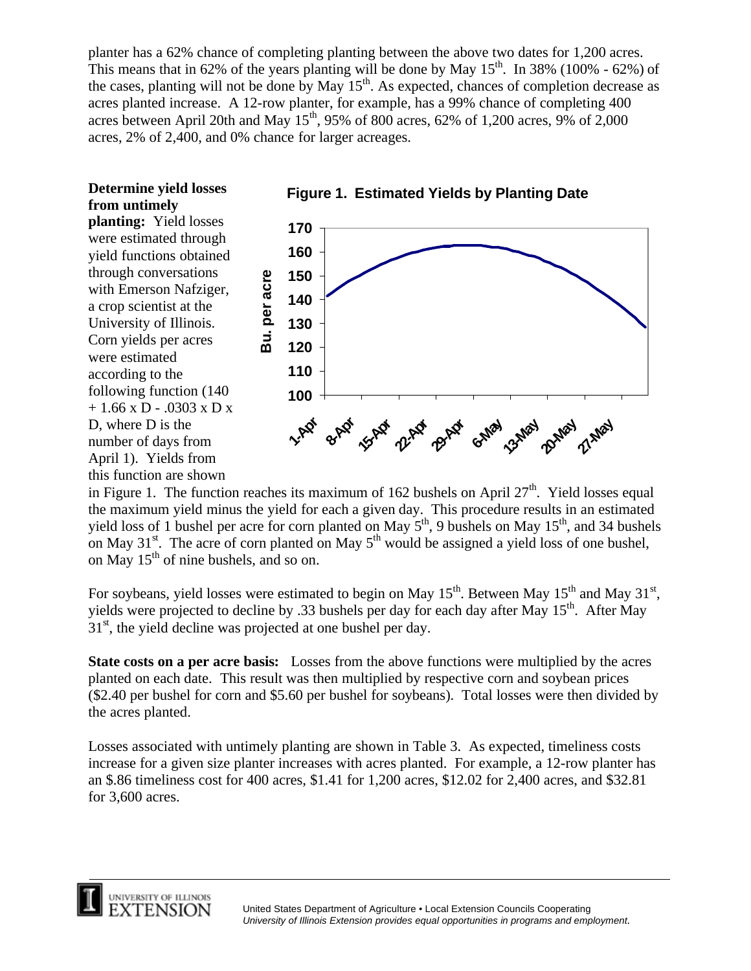planter has a 62% chance of completing planting between the above two dates for 1,200 acres. This means that in 62% of the years planting will be done by May  $15<sup>th</sup>$ . In 38% (100% - 62%) of the cases, planting will not be done by May 15<sup>th</sup>. As expected, chances of completion decrease as acres planted increase. A 12-row planter, for example, has a 99% chance of completing 400 acres between April 20th and May  $15^{th}$ , 95% of 800 acres, 62% of 1,200 acres, 9% of 2,000 acres, 2% of 2,400, and 0% chance for larger acreages.

# **Determine yield losses from untimely**

**planting:** Yield losses were estimated through yield functions obtained through conversations with Emerson Nafziger, a crop scientist at the University of Illinois. Corn yields per acres were estimated according to the following function (140 + 1.66 x D - .0303 x D x D, where D is the number of days from April 1). Yields from this function are shown



**Figure 1. Estimated Yields by Planting Date**

in Figure 1. The function reaches its maximum of 162 bushels on April  $27<sup>th</sup>$ . Yield losses equal the maximum yield minus the yield for each a given day. This procedure results in an estimated yield loss of 1 bushel per acre for corn planted on May  $5^{th}$ , 9 bushels on May  $15^{th}$ , and 34 bushels on May  $31<sup>st</sup>$ . The acre of corn planted on May  $5<sup>th</sup>$  would be assigned a yield loss of one bushel, on May  $15<sup>th</sup>$  of nine bushels, and so on.

For soybeans, yield losses were estimated to begin on May  $15^{th}$ . Between May  $15^{th}$  and May  $31^{st}$ , yields were projected to decline by .33 bushels per day for each day after May 15<sup>th</sup>. After May  $31<sup>st</sup>$ , the yield decline was projected at one bushel per day.

**State costs on a per acre basis:** Losses from the above functions were multiplied by the acres planted on each date. This result was then multiplied by respective corn and soybean prices (\$2.40 per bushel for corn and \$5.60 per bushel for soybeans). Total losses were then divided by the acres planted.

Losses associated with untimely planting are shown in Table 3. As expected, timeliness costs increase for a given size planter increases with acres planted. For example, a 12-row planter has an \$.86 timeliness cost for 400 acres, \$1.41 for 1,200 acres, \$12.02 for 2,400 acres, and \$32.81 for 3,600 acres.

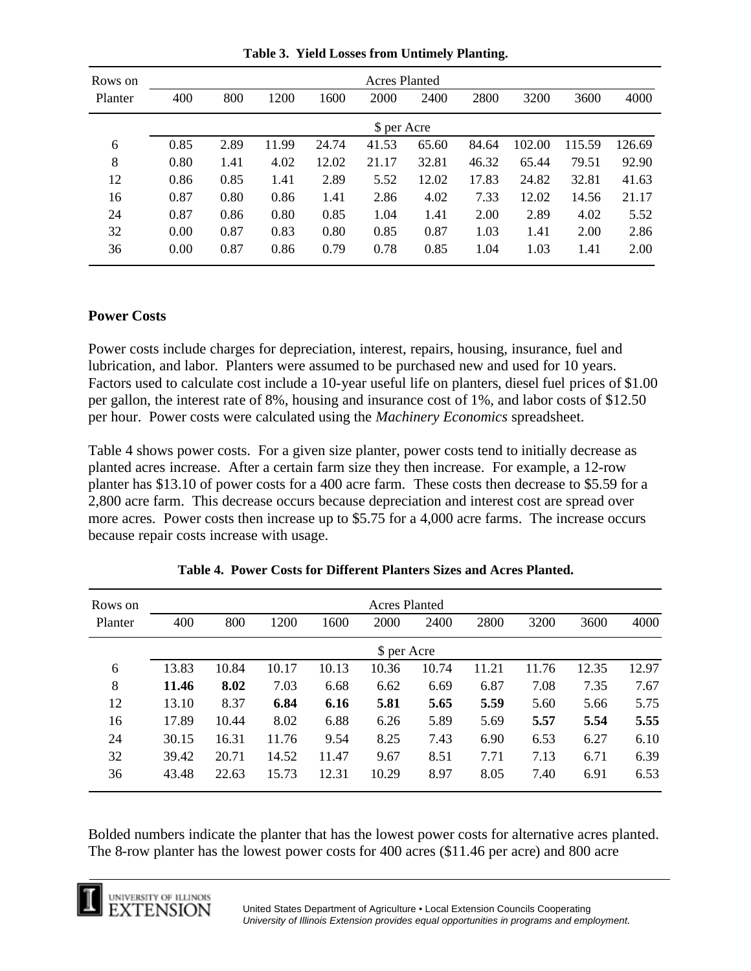| Rows on |      |      |       |       | <b>Acres Planted</b> |       |       |        |        |        |
|---------|------|------|-------|-------|----------------------|-------|-------|--------|--------|--------|
| Planter | 400  | 800  | 1200  | 1600  | 2000                 | 2400  | 2800  | 3200   | 3600   | 4000   |
|         |      |      |       |       | \$ per Acre          |       |       |        |        |        |
| 6       | 0.85 | 2.89 | 11.99 | 24.74 | 41.53                | 65.60 | 84.64 | 102.00 | 115.59 | 126.69 |
| 8       | 0.80 | 1.41 | 4.02  | 12.02 | 21.17                | 32.81 | 46.32 | 65.44  | 79.51  | 92.90  |
| 12      | 0.86 | 0.85 | 1.41  | 2.89  | 5.52                 | 12.02 | 17.83 | 24.82  | 32.81  | 41.63  |
| 16      | 0.87 | 0.80 | 0.86  | 1.41  | 2.86                 | 4.02  | 7.33  | 12.02  | 14.56  | 21.17  |
| 24      | 0.87 | 0.86 | 0.80  | 0.85  | 1.04                 | 1.41  | 2.00  | 2.89   | 4.02   | 5.52   |
| 32      | 0.00 | 0.87 | 0.83  | 0.80  | 0.85                 | 0.87  | 1.03  | 1.41   | 2.00   | 2.86   |
| 36      | 0.00 | 0.87 | 0.86  | 0.79  | 0.78                 | 0.85  | 1.04  | 1.03   | 1.41   | 2.00   |

**Table 3. Yield Losses from Untimely Planting.**

#### **Power Costs**

Power costs include charges for depreciation, interest, repairs, housing, insurance, fuel and lubrication, and labor. Planters were assumed to be purchased new and used for 10 years. Factors used to calculate cost include a 10-year useful life on planters, diesel fuel prices of \$1.00 per gallon, the interest rate of 8%, housing and insurance cost of 1%, and labor costs of \$12.50 per hour. Power costs were calculated using the *Machinery Economics* spreadsheet.

Table 4 shows power costs. For a given size planter, power costs tend to initially decrease as planted acres increase. After a certain farm size they then increase. For example, a 12-row planter has \$13.10 of power costs for a 400 acre farm. These costs then decrease to \$5.59 for a 2,800 acre farm. This decrease occurs because depreciation and interest cost are spread over more acres. Power costs then increase up to \$5.75 for a 4,000 acre farms. The increase occurs because repair costs increase with usage.

| Rows on | <b>Acres Planted</b> |       |       |       |             |       |       |       |       |       |  |
|---------|----------------------|-------|-------|-------|-------------|-------|-------|-------|-------|-------|--|
| Planter | 400                  | 800   | 1200  | 1600  | 2000        | 2400  | 2800  | 3200  | 3600  | 4000  |  |
|         |                      |       |       |       | \$ per Acre |       |       |       |       |       |  |
| 6       | 13.83                | 10.84 | 10.17 | 10.13 | 10.36       | 10.74 | 11.21 | 11.76 | 12.35 | 12.97 |  |
| 8       | 11.46                | 8.02  | 7.03  | 6.68  | 6.62        | 6.69  | 6.87  | 7.08  | 7.35  | 7.67  |  |
| 12      | 13.10                | 8.37  | 6.84  | 6.16  | 5.81        | 5.65  | 5.59  | 5.60  | 5.66  | 5.75  |  |
| 16      | 17.89                | 10.44 | 8.02  | 6.88  | 6.26        | 5.89  | 5.69  | 5.57  | 5.54  | 5.55  |  |
| 24      | 30.15                | 16.31 | 11.76 | 9.54  | 8.25        | 7.43  | 6.90  | 6.53  | 6.27  | 6.10  |  |
| 32      | 39.42                | 20.71 | 14.52 | 11.47 | 9.67        | 8.51  | 7.71  | 7.13  | 6.71  | 6.39  |  |
| 36      | 43.48                | 22.63 | 15.73 | 12.31 | 10.29       | 8.97  | 8.05  | 7.40  | 6.91  | 6.53  |  |

**Table 4. Power Costs for Different Planters Sizes and Acres Planted.**

Bolded numbers indicate the planter that has the lowest power costs for alternative acres planted. The 8-row planter has the lowest power costs for 400 acres (\$11.46 per acre) and 800 acre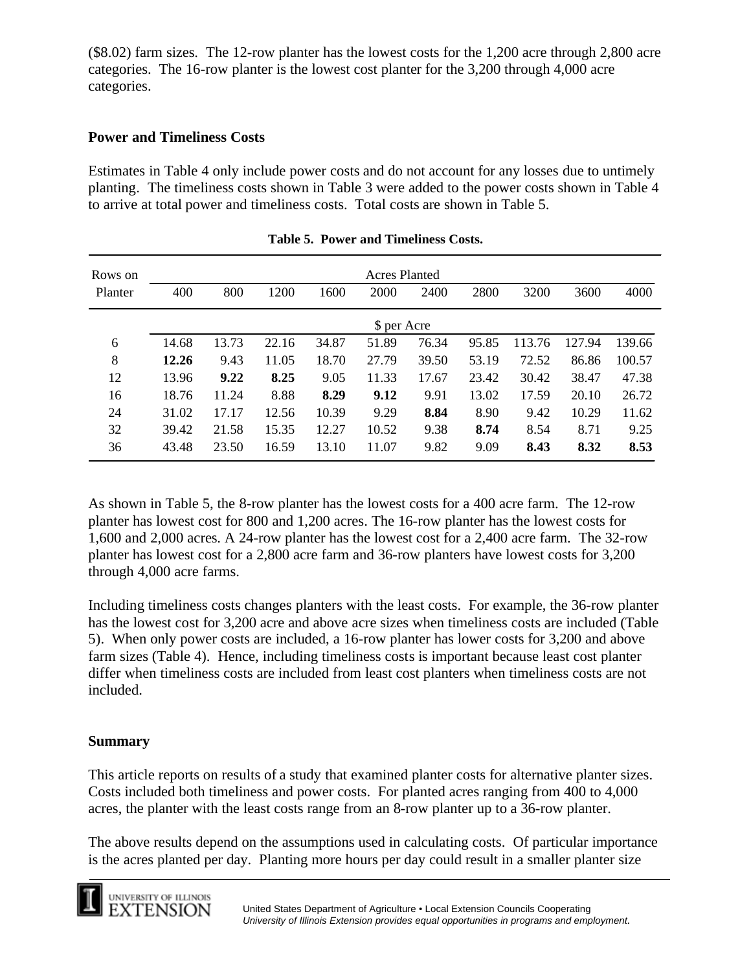(\$8.02) farm sizes. The 12-row planter has the lowest costs for the 1,200 acre through 2,800 acre categories. The 16-row planter is the lowest cost planter for the 3,200 through 4,000 acre categories.

## **Power and Timeliness Costs**

Estimates in Table 4 only include power costs and do not account for any losses due to untimely planting. The timeliness costs shown in Table 3 were added to the power costs shown in Table 4 to arrive at total power and timeliness costs. Total costs are shown in Table 5.

| Rows on | <b>Acres Planted</b> |       |       |       |             |       |       |        |        |        |
|---------|----------------------|-------|-------|-------|-------------|-------|-------|--------|--------|--------|
| Planter | 400                  | 800   | 1200  | 1600  | 2000        | 2400  | 2800  | 3200   | 3600   | 4000   |
|         |                      |       |       |       | \$ per Acre |       |       |        |        |        |
| 6       | 14.68                | 13.73 | 22.16 | 34.87 | 51.89       | 76.34 | 95.85 | 113.76 | 127.94 | 139.66 |
| 8       | 12.26                | 9.43  | 11.05 | 18.70 | 27.79       | 39.50 | 53.19 | 72.52  | 86.86  | 100.57 |
| 12      | 13.96                | 9.22  | 8.25  | 9.05  | 11.33       | 17.67 | 23.42 | 30.42  | 38.47  | 47.38  |
| 16      | 18.76                | 11.24 | 8.88  | 8.29  | 9.12        | 9.91  | 13.02 | 17.59  | 20.10  | 26.72  |
| 24      | 31.02                | 17.17 | 12.56 | 10.39 | 9.29        | 8.84  | 8.90  | 9.42   | 10.29  | 11.62  |
| 32      | 39.42                | 21.58 | 15.35 | 12.27 | 10.52       | 9.38  | 8.74  | 8.54   | 8.71   | 9.25   |
| 36      | 43.48                | 23.50 | 16.59 | 13.10 | 11.07       | 9.82  | 9.09  | 8.43   | 8.32   | 8.53   |

|  |  |  | Table 5. Power and Timeliness Costs. |  |
|--|--|--|--------------------------------------|--|
|--|--|--|--------------------------------------|--|

As shown in Table 5, the 8-row planter has the lowest costs for a 400 acre farm. The 12-row planter has lowest cost for 800 and 1,200 acres. The 16-row planter has the lowest costs for 1,600 and 2,000 acres. A 24-row planter has the lowest cost for a 2,400 acre farm. The 32-row planter has lowest cost for a 2,800 acre farm and 36-row planters have lowest costs for 3,200 through 4,000 acre farms.

Including timeliness costs changes planters with the least costs. For example, the 36-row planter has the lowest cost for 3,200 acre and above acre sizes when timeliness costs are included (Table 5). When only power costs are included, a 16-row planter has lower costs for 3,200 and above farm sizes (Table 4). Hence, including timeliness costs is important because least cost planter differ when timeliness costs are included from least cost planters when timeliness costs are not included.

#### **Summary**

This article reports on results of a study that examined planter costs for alternative planter sizes. Costs included both timeliness and power costs. For planted acres ranging from 400 to 4,000 acres, the planter with the least costs range from an 8-row planter up to a 36-row planter.

The above results depend on the assumptions used in calculating costs. Of particular importance is the acres planted per day. Planting more hours per day could result in a smaller planter size